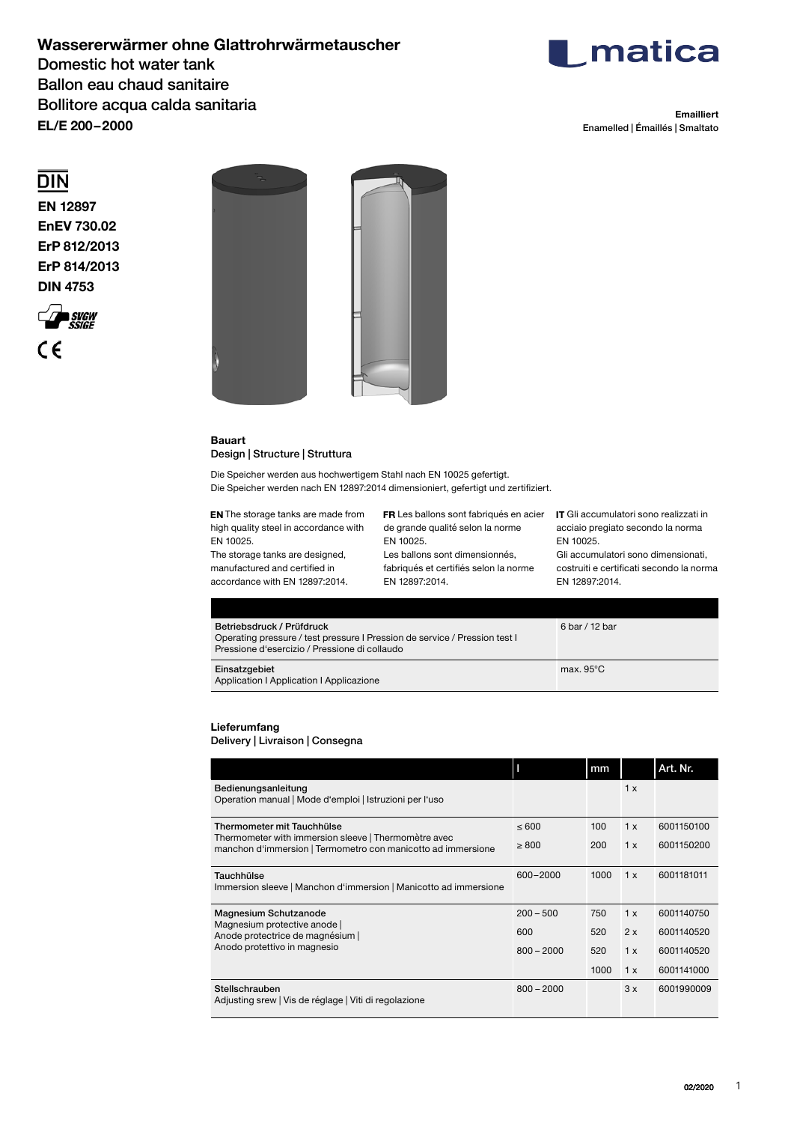## **Wassererwärmer ohne Glattrohrwärmetauscher**  Domestic hot water tank Ballon eau chaud sanitaire Bollitore acqua calda sanitaria **EL/E 200– 2000**



**Emailliert** Enamelled | Émaillés | Smaltato

# $\overline{DIN}$

**EN 12897 EnEV 730.02 ErP 812/2013 ErP 814/2013 DIN 4753**





### **Bauart** Design | Structure | Struttura

Die Speicher werden aus hochwertigem Stahl nach EN 10025 gefertigt. Die Speicher werden nach EN 12897:2014 dimensioniert, gefertigt und zertifiziert.

**EN** The storage tanks are made from high quality steel in accordance with EN 10025. The storage tanks are designed,

manufactured and certified in accordance with EN 12897:2014.

Les ballons sont fabriqués en acier **IT** Gli accumulatori sono realizzati in de grande qualité selon la norme EN 10025. Les ballons sont dimensionnés,

fabriqués et certifiés selon la norme EN 12897:2014.

acciaio pregiato secondo la norma EN 10025.

Gli accumulatori sono dimensionati, costruiti e certificati secondo la norma EN 12897:2014.

| Betriebsdruck / Prüfdruck<br>Operating pressure / test pressure I Pression de service / Pression test I<br>Pressione d'esercizio / Pressione di collaudo | 6 bar / 12 bar      |
|----------------------------------------------------------------------------------------------------------------------------------------------------------|---------------------|
| Einsatzgebiet<br>Application   Application   Applicazione                                                                                                | max. $95^{\circ}$ C |

## **Lieferumfang**

## Delivery | Livraison | Consegna

|                                                                                                                      |              | mm   |     | Art. Nr.   |
|----------------------------------------------------------------------------------------------------------------------|--------------|------|-----|------------|
| Bedienungsanleitung<br>Operation manual   Mode d'emploi   Istruzioni per l'uso                                       |              |      | 1x  |            |
| Thermometer mit Tauchhülse                                                                                           | $\leq 600$   | 100  | 1x  | 6001150100 |
| Thermometer with immersion sleeve   Thermomètre avec<br>manchon d'immersion   Termometro con manicotto ad immersione | $\geq 800$   | 200  | 1x  | 6001150200 |
| Tauchhülse<br>Immersion sleeve   Manchon d'immersion   Manicotto ad immersione                                       | 600-2000     | 1000 | 1 x | 6001181011 |
| Magnesium Schutzanode                                                                                                | $200 - 500$  | 750  | 1 x | 6001140750 |
| Magnesium protective anode  <br>Anode protectrice de magnésium                                                       | 600          | 520  | 2x  | 6001140520 |
| Anodo protettivo in magnesio                                                                                         | $800 - 2000$ | 520  | 1x  | 6001140520 |
|                                                                                                                      |              | 1000 | 1x  | 6001141000 |
| Stellschrauben<br>Adjusting srew   Vis de réglage   Viti di regolazione                                              | $800 - 2000$ |      | 3x  | 6001990009 |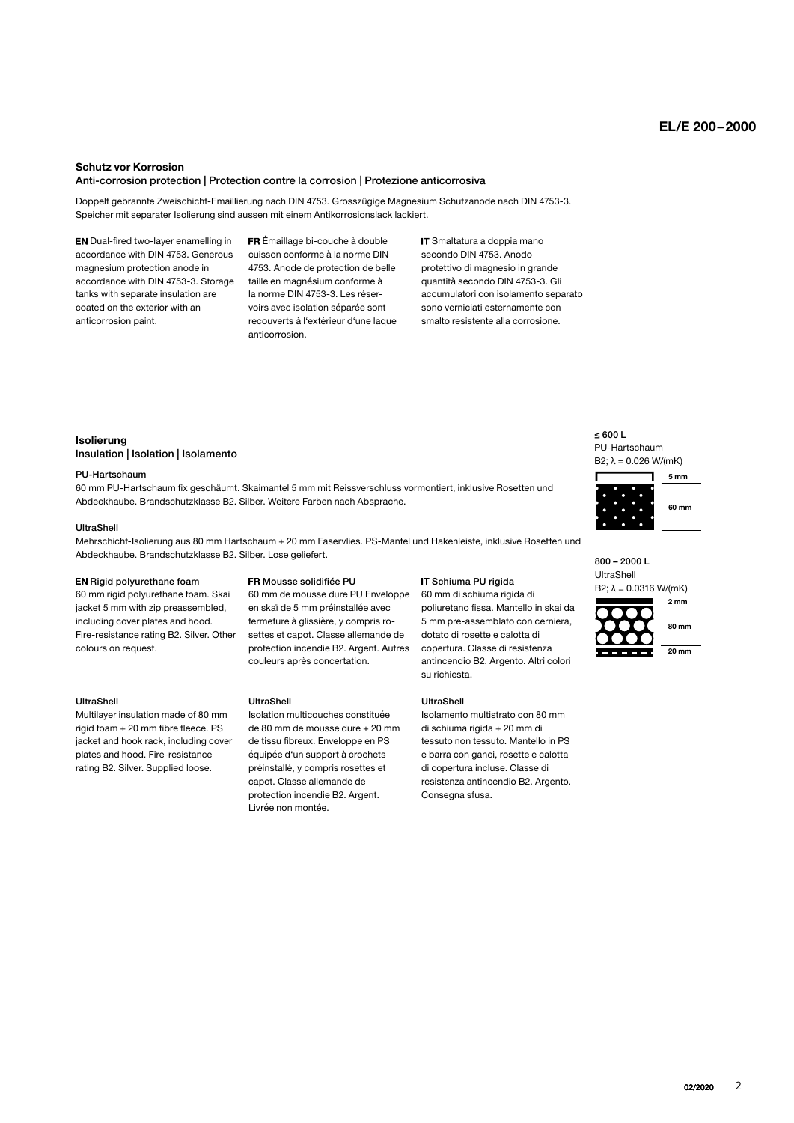## **EL/E 200 – 2000**

#### **Schutz vor Korrosion**

### Anti-corrosion protection | Protection contre la corrosion | Protezione anticorrosiva

Doppelt gebrannte Zweischicht-Emaillierung nach DIN 4753. Grosszügige Magnesium Schutzanode nach DIN 4753-3. Speicher mit separater Isolierung sind aussen mit einem Antikorrosionslack lackiert.

**EN** Dual-fired two-layer enamelling in accordance with DIN 4753. Generous magnesium protection anode in accordance with DIN 4753-3. Storage tanks with separate insulation are coated on the exterior with an anticorrosion paint.

 Émaillage bi-couche à double cuisson conforme à la norme DIN 4753. Anode de protection de belle taille en magnésium conforme à la norme DIN 4753-3. Les réservoirs avec isolation séparée sont recouverts à l'extérieur d'une laque anticorrosion.

IT Smaltatura a doppia mano secondo DIN 4753. Anodo protettivo di magnesio in grande quantità secondo DIN 4753-3. Gli accumulatori con isolamento separato sono verniciati esternamente con smalto resistente alla corrosione.

### **Isolierung** Insulation | Isolation | Isolamento

#### PU-Hartschaum

**40 mm** 60 mm PU-Hartschaum fix geschäumt. Skaimantel 5 mm mit Reissverschluss vormontiert, inklusive Rosetten und Abdeckhaube. Brandschutzklasse B2. Silber. Weitere Farben nach Absprache.

### UltraShell

Mehrschicht-Isolierung aus 80 mm Hartschaum + 20 mm Faservlies. PS-Mantel und Hakenleiste, inklusive Rosetten und Abdeckhaube. Brandschutzklasse B2. Silber. Lose geliefert.

### EN Rigid polyurethane foam

60 mm rigid polyurethane foam. Skai iacket 5 mm with zip preassembled. including cover plates and hood. Fire-resistance rating B2. Silver. Other colours on request.

### UltraShell

Multilayer insulation made of 80 mm  $r$ igid foam + 20 mm fibre fleece. PS jacket and hook rack, including cover plates and hood. Fire-resistance rating B2. Silver. Supplied loose.

### Mousse solidifiée PU

60 mm de mousse dure PU Enveloppe en skaï de 5 mm préinstallée avec fermeture à glissière, y compris rosettes et capot. Classe allemande de protection incendie B2. Argent. Autres couleurs après concertation.

#### UltraShell

Isolation multicouches constituée de 80 mm de mousse dure + 20 mm de tissu fibreux. Enveloppe en PS équipée d'un support à crochets préinstallé, y compris rosettes et capot. Classe allemande de protection incendie B2. Argent. Livrée non montée.

### IT Schiuma PU rigida

**5 mm** poliuretano fissa. Mantello in skai da **160 mm** 5 mm pre-assemblato con cerniera, **130 mm** dotato di rosette e calotta di **100 mm** copertura. Classe di resistenza 60 mm di schiuma rigida di antincendio B2. Argento. Altri colori su richiesta.

### UltraShell

**30 mm** Isolamento multistrato con 80 mm **20 mm** di schiuma rigida + 20 mm di di copertura incluse. Classe di tessuto non tessuto. Mantello in PS e barra con ganci, rosette e calotta resistenza antincendio B2. Argento. Consegna sfusa.

≤ 600 L PU-Hartschaum B2;  $λ = 0.026 W/(mK)$ 



**B2; λ = 0.0316 W/(mK)** 800 – 2000 L UltraShell



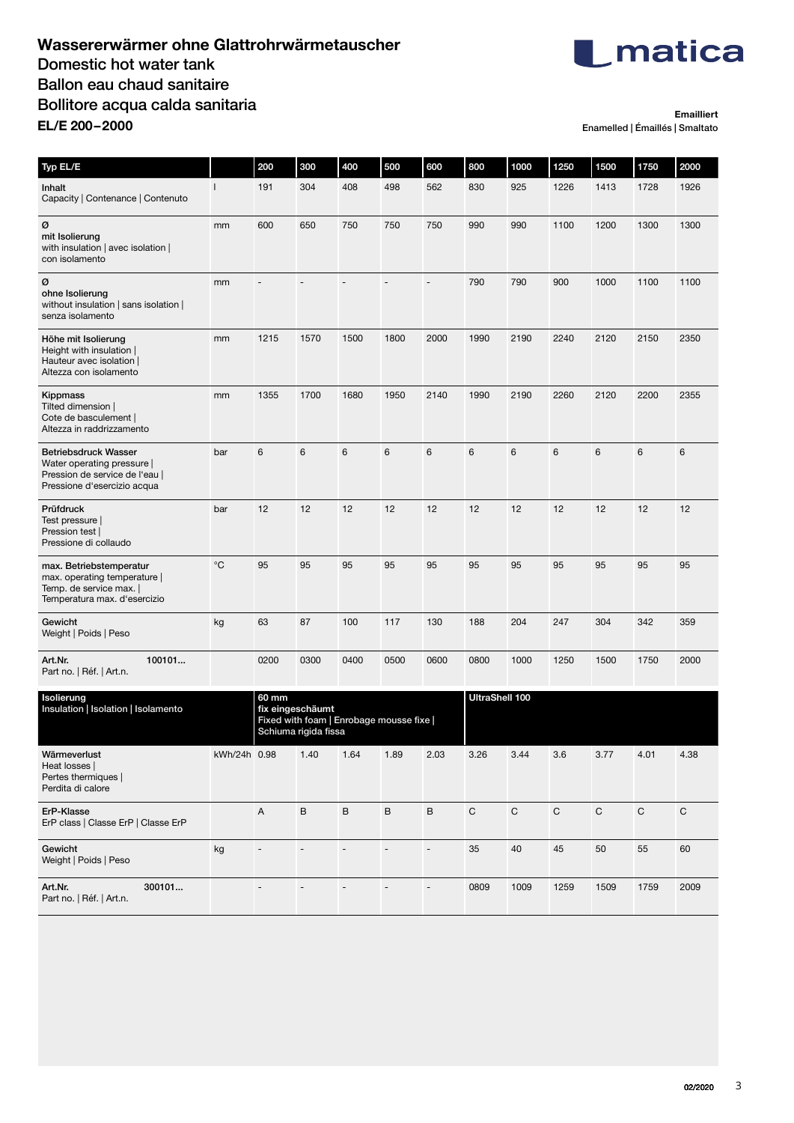## **Wassererwärmer ohne Glattrohrwärmetauscher** Domestic hot water tank Ballon eau chaud sanitaire Bollitore acqua calda sanitaria **EL/E 200– 2000**



**Emailliert** Enamelled | Émaillés | Smaltato

| Typ EL/E                                                                                                                   |              | 200                                                                                           | 300                      | 400                      | 500                          | 600                      | 800                   | 1000           | 1250        | 1500      | 1750        | 2000        |
|----------------------------------------------------------------------------------------------------------------------------|--------------|-----------------------------------------------------------------------------------------------|--------------------------|--------------------------|------------------------------|--------------------------|-----------------------|----------------|-------------|-----------|-------------|-------------|
| Inhalt<br>Capacity   Contenance   Contenuto                                                                                | $\mathbf{I}$ | 191                                                                                           | 304                      | 408                      | 498                          | 562                      | 830                   | 925            | 1226        | 1413      | 1728        | 1926        |
| ø<br>mit Isolierung<br>with insulation   avec isolation  <br>con isolamento                                                | mm           | 600                                                                                           | 650                      | 750                      | 750                          | 750                      | 990                   | 990            | 1100        | 1200      | 1300        | 1300        |
| ø<br>ohne Isolierung<br>without insulation   sans isolation  <br>senza isolamento                                          | mm           | $\overline{a}$                                                                                |                          |                          | $\overline{a}$               | $\overline{\phantom{a}}$ | 790                   | 790            | 900         | 1000      | 1100        | 1100        |
| Höhe mit Isolierung<br>Height with insulation  <br>Hauteur avec isolation<br>Altezza con isolamento                        | mm           | 1215                                                                                          | 1570                     | 1500                     | 1800                         | 2000                     | 1990                  | 2190           | 2240        | 2120      | 2150        | 2350        |
| Kippmass<br>Tilted dimension  <br>Cote de basculement  <br>Altezza in raddrizzamento                                       | mm           | 1355                                                                                          | 1700                     | 1680                     | 1950                         | 2140                     | 1990                  | 2190           | 2260        | 2120      | 2200        | 2355        |
| <b>Betriebsdruck Wasser</b><br>Water operating pressure  <br>Pression de service de l'eau  <br>Pressione d'esercizio acqua | bar          | 6                                                                                             | 6                        | $\,6$                    | $6\phantom{1}$               | $\,6$                    | $\,6$                 | $6\phantom{1}$ | 6           | 6         | $\,6$       | 6           |
| Prüfdruck<br>Test pressure  <br>Pression test  <br>Pressione di collaudo                                                   | bar          | 12                                                                                            | 12                       | 12                       | 12                           | 12                       | 12                    | 12             | 12          | 12        | 12          | 12          |
| max. Betriebstemperatur<br>max. operating temperature  <br>Temp. de service max.  <br>Temperatura max. d'esercizio         | $^{\circ}C$  | 95                                                                                            | 95                       | 95                       | 95                           | 95                       | 95                    | 95             | 95          | 95        | 95          | 95          |
| Gewicht<br>Weight   Poids   Peso                                                                                           | kg           | 63                                                                                            | 87                       | 100                      | 117                          | 130                      | 188                   | 204            | 247         | 304       | 342         | 359         |
| 100101<br>Art.Nr.<br>Part no.   Réf.   Art.n.                                                                              |              | 0200                                                                                          | 0300                     | 0400                     | 0500                         | 0600                     | 0800                  | 1000           | 1250        | 1500      | 1750        | 2000        |
| Isolierung<br>Insulation   Isolation   Isolamento                                                                          |              | 60 mm<br>fix eingeschäumt<br>Fixed with foam   Enrobage mousse fixe  <br>Schiuma rigida fissa |                          |                          |                              |                          | <b>UltraShell 100</b> |                |             |           |             |             |
| Wärmeverlust<br>Heat losses  <br>Pertes thermiques  <br>Perdita di calore                                                  | kWh/24h 0.98 |                                                                                               | 1.40                     | 1.64                     | 1.89                         | 2.03                     | 3.26                  | 3.44           | 3.6         | 3.77      | 4.01        | 4.38        |
| ErP-Klasse<br>ErP class   Classe ErP   Classe ErP                                                                          |              | A                                                                                             | $\sf B$                  | $\mathsf B$              | $\sf B$                      | $\sf B$                  | ${\bf C}$             | $\mathsf C$    | $\mathsf C$ | ${\rm C}$ | $\mathsf C$ | $\mathsf C$ |
| Gewicht<br>Weight   Poids   Peso                                                                                           | kg           | $\overline{a}$                                                                                | $\overline{\phantom{a}}$ | $\overline{a}$           | $\blacksquare$               | $\overline{\phantom{a}}$ | 35                    | 40             | 45          | 50        | 55          | 60          |
| Art.Nr.<br>300101<br>Part no.   Réf.   Art.n.                                                                              |              | $\blacksquare$                                                                                | $\overline{\phantom{a}}$ | $\overline{\phantom{a}}$ | $\qquad \qquad \blacksquare$ | $\overline{\phantom{a}}$ | 0809                  | 1009           | 1259        | 1509      | 1759        | 2009        |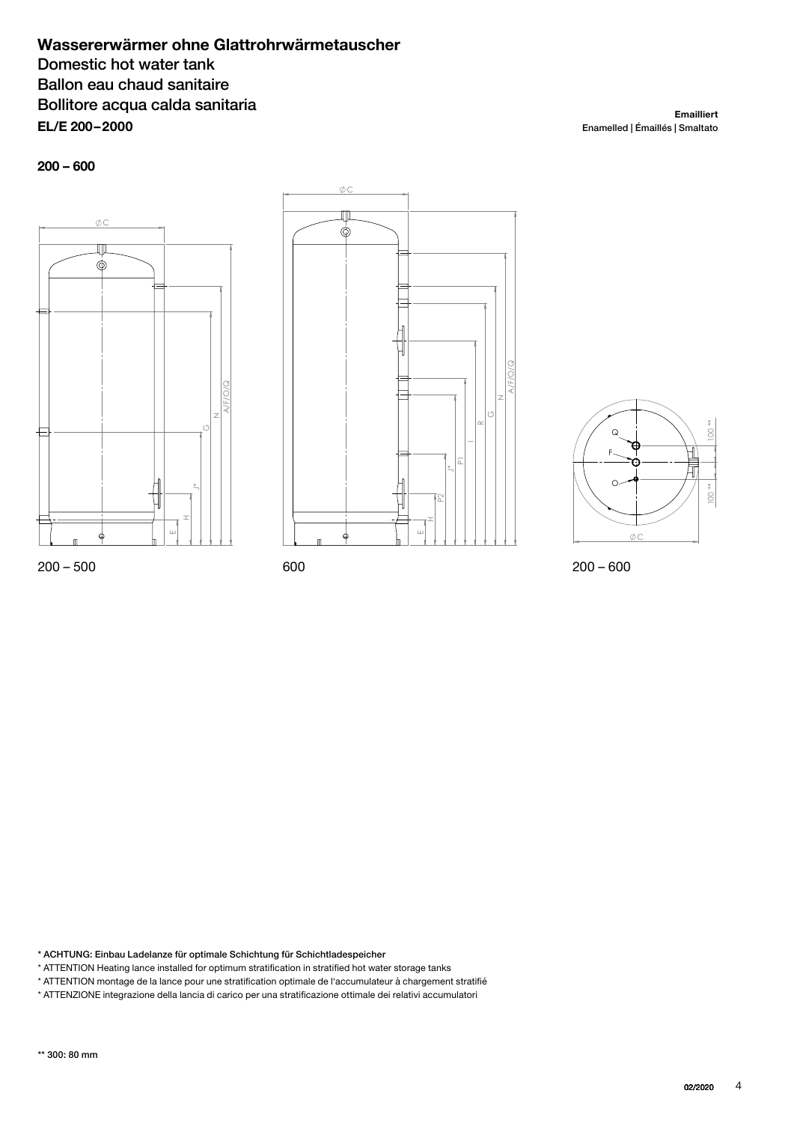## **Wassererwärmer ohne Glattrohrwärmetauscher** Domestic hot water tank Ballon eau chaud sanitaire Bollitore acqua calda sanitaria **EL/E 200– 2000**

**200 – 600**







\* ACHTUNG: Einbau Ladelanze für optimale Schichtung für Schichtladespeicher

\* ATTENTION Heating lance installed for optimum stratification in stratified hot water storage tanks

\* ATTENTION montage de la lance pour une stratification optimale de l'accumulateur à chargement stratifié \* ATTENZIONE integrazione della lancia di carico per una stratificazione ottimale dei relativi accumulatori

\*\* 300: 80 mm

Enamelled | Émaillés | Smaltato

**Emailliert**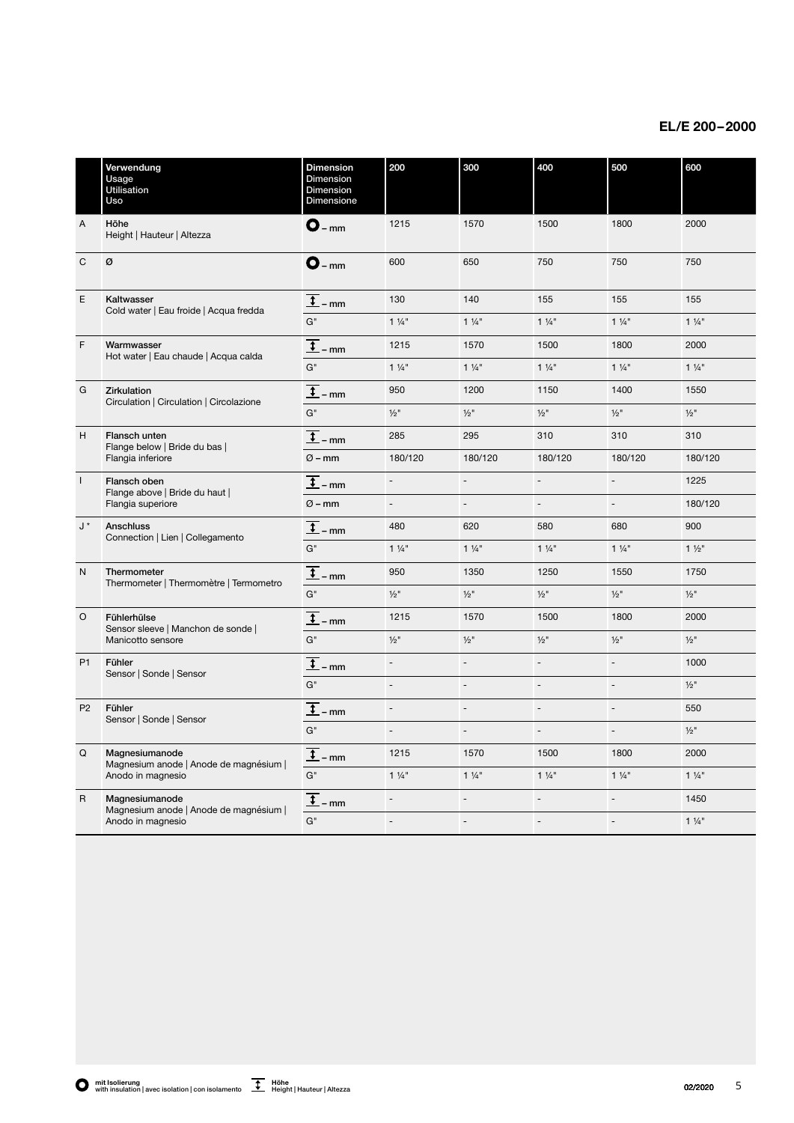## **EL/E 200 – 2000**

|                | Verwendung<br>Usage<br>Utilisation<br>Uso                                     | <b>Dimension</b><br>Dimension<br>Dimension<br>Dimensione | 200                      | 300                      | 400                      | 500            | 600                 |
|----------------|-------------------------------------------------------------------------------|----------------------------------------------------------|--------------------------|--------------------------|--------------------------|----------------|---------------------|
| $\overline{A}$ | Höhe<br>Height   Hauteur   Altezza                                            | $O_{-mm}$                                                | 1215                     | 1570                     | 1500                     | 1800           | 2000                |
| $\mathsf{C}$   | Ø                                                                             | $O_{-mm}$                                                | 600                      | 650                      | 750                      | 750            | 750                 |
| $\mathsf E$    | Kaltwasser<br>Cold water   Eau froide   Acqua fredda                          | $\overline{\mathbf{t}}$<br>$-mm$                         | 130                      | 140                      | 155                      | 155            | 155                 |
|                |                                                                               | G"                                                       | $1\frac{1}{4}$           | $1\frac{1}{4}$           | $1\frac{1}{4}$           | $1\frac{1}{4}$ | $1\frac{1}{4}$      |
| F              | Warmwasser<br>Hot water   Eau chaude   Acqua calda                            | $\overline{1}$ – mm                                      | 1215                     | 1570                     | 1500                     | 1800           | 2000                |
|                |                                                                               | $G^"$                                                    | $1\frac{1}{4}$           | $1\frac{1}{4}$           | $1\frac{1}{4}$           | $1\frac{1}{4}$ | $1\frac{1}{4}$      |
| G              | <b>Zirkulation</b><br>Circulation   Circulation   Circolazione                | $\overline{\mathbf{t}}$<br>- mm                          | 950                      | 1200                     | 1150                     | 1400           | 1550                |
|                |                                                                               | $G^"$                                                    | $1/2$ "                  | $1/2$ "                  | $\frac{1}{2}$ "          | $1/2$ "        | $\frac{1}{2}$ "     |
| H              | Flansch unten<br>Flange below   Bride du bas  <br>Flangia inferiore           | $\frac{1}{2}$ – mm                                       | 285                      | 295                      | 310                      | 310            | 310                 |
|                |                                                                               | $Ø - mm$                                                 | 180/120                  | 180/120                  | 180/120                  | 180/120        | 180/120             |
| $\overline{1}$ | Flansch oben<br>Flange above   Bride du haut  <br>Flangia superiore           | $\ddot{\phantom{0}}$<br>- mm                             | $\blacksquare$           | $\blacksquare$           | $\overline{\phantom{a}}$ | ÷,             | 1225                |
|                |                                                                               | $Ø - mm$                                                 | $\overline{\phantom{a}}$ | $\frac{1}{2}$            | $\overline{\phantom{a}}$ | ÷,             | 180/120             |
| J *            | Anschluss<br>Connection   Lien   Collegamento                                 | $\overline{t}$ – mm                                      | 480                      | 620                      | 580                      | 680            | 900                 |
|                |                                                                               | $G^"$                                                    | $1\frac{1}{4}$           | $1\frac{1}{4}$           | $1\frac{1}{4}$           | $1\frac{1}{4}$ | $1\frac{1}{2}$      |
| $\mathsf{N}$   | Thermometer<br>Thermometer   Thermomètre   Termometro                         | $\overline{\textbf{t}}$<br>$-$ mm                        | 950                      | 1350                     | 1250                     | 1550           | 1750                |
|                |                                                                               | $G^"$                                                    | $1/2$ "                  | $1/2$ "                  | $1/2$ "                  | $1/2$ "        | $1/2$ <sup>11</sup> |
| $\circ$        | Fühlerhülse<br>Sensor sleeve   Manchon de sonde                               | $\overline{\mathfrak{t}}$<br>$-$ mm                      | 1215                     | 1570                     | 1500                     | 1800           | 2000                |
|                | Manicotto sensore                                                             | $G^"$                                                    | $1/2$ "                  | $1/2$ "                  | $\frac{1}{2}$ "          | $1/2$ "        | $1/2$ <sup>11</sup> |
| P <sub>1</sub> | Fühler<br>Sensor   Sonde   Sensor                                             | $\ddot{\cdot}$<br>- mm                                   | $\overline{\phantom{a}}$ | $\overline{\phantom{a}}$ | $\overline{\phantom{a}}$ | ÷,             | 1000                |
|                |                                                                               | $G^"$                                                    | $\bar{a}$                | $\overline{a}$           | $\overline{a}$           | ÷,             | $1/2$ <sup>11</sup> |
| P <sub>2</sub> | Fühler<br>Sensor   Sonde   Sensor                                             | $\overline{t}$ – mm                                      | $\blacksquare$           | $\overline{a}$           | $\overline{a}$           | $\overline{a}$ | 550                 |
|                |                                                                               | $G^"$                                                    | $\bar{a}$                | $\blacksquare$           | $\overline{a}$           | ÷,             | $1/2$ <sup>11</sup> |
| Q              | Magnesiumanode<br>Magnesium anode   Anode de magnésium  <br>Anodo in magnesio | $\overline{\mathbf{t}}$<br>- mm                          | 1215                     | 1570                     | 1500                     | 1800           | 2000                |
|                |                                                                               | $G^"$                                                    | $1\frac{1}{4}$           | $1\frac{1}{4}$           | $1\frac{1}{4}$           | $1\frac{1}{4}$ | $1\frac{1}{4}$      |
| $\mathsf{R}$   | Magnesiumanode<br>Magnesium anode   Anode de magnésium                        | $\overline{\mathbf{t}}$<br>- mm                          | $\overline{a}$           | $\overline{a}$           | $\overline{a}$           | $\overline{a}$ | 1450                |
|                | Anodo in magnesio                                                             | $G^"$                                                    | $\overline{a}$           | $\overline{a}$           | $\overline{a}$           | $\overline{a}$ | $1\frac{1}{4}$      |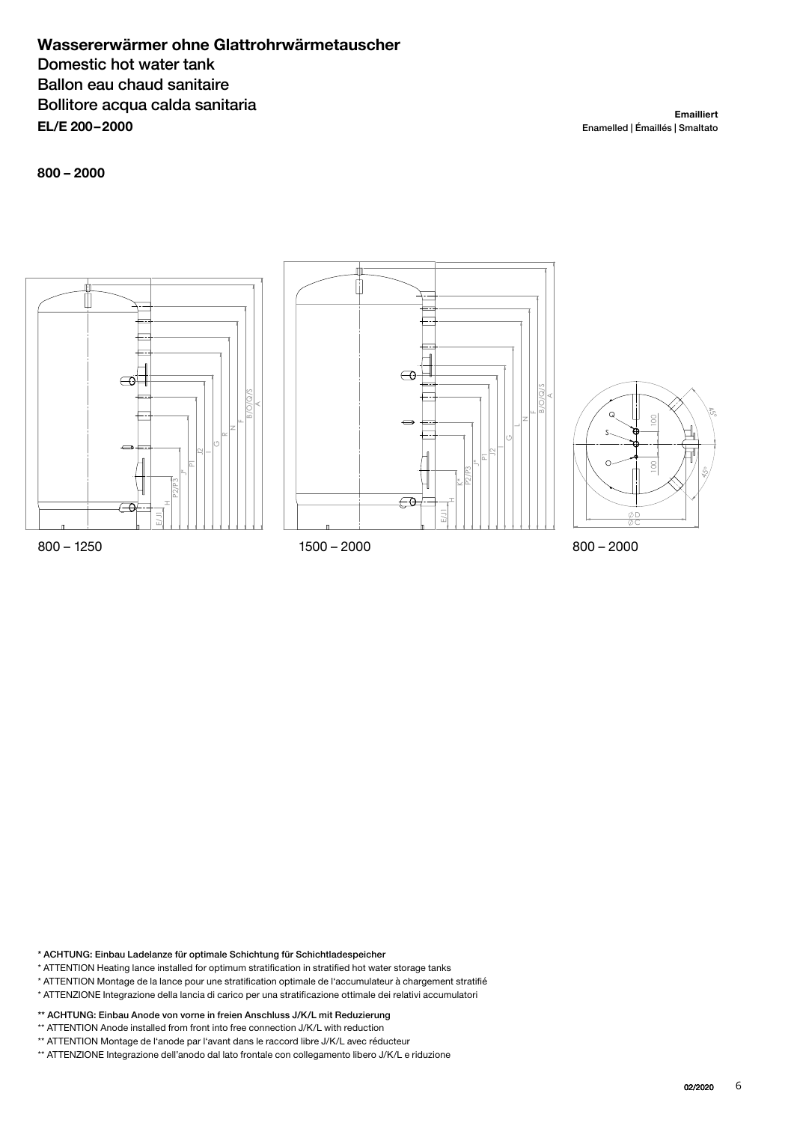## **Wassererwärmer ohne Glattrohrwärmetauscher** Domestic hot water tank Ballon eau chaud sanitaire Bollitore acqua calda sanitaria **EL/E 200– 2000**

**Emailliert** Enamelled | Émaillés | Smaltato

**800 – 2000**



\* ACHTUNG: Einbau Ladelanze für optimale Schichtung für Schichtladespeicher

- \* ATTENTION Heating lance installed for optimum stratification in stratified hot water storage tanks
- \* ATTENTION Montage de la lance pour une stratification optimale de l'accumulateur à chargement stratifié
- \* ATTENZIONE Integrazione della lancia di carico per una stratificazione ottimale dei relativi accumulatori
- \*\* ACHTUNG: Einbau Anode von vorne in freien Anschluss J/K/L mit Reduzierung
- \*\* ATTENTION Anode installed from front into free connection J/K/L with reduction
- 
- \*\* ATTENTION Montage de l'anode par l'avant dans le raccord libre J/K/L avec réducteur<br>\*\* ATTENZIONE Integrazione dell'anodo dal lato frontale con collegamento libero J/K/L e riduzione